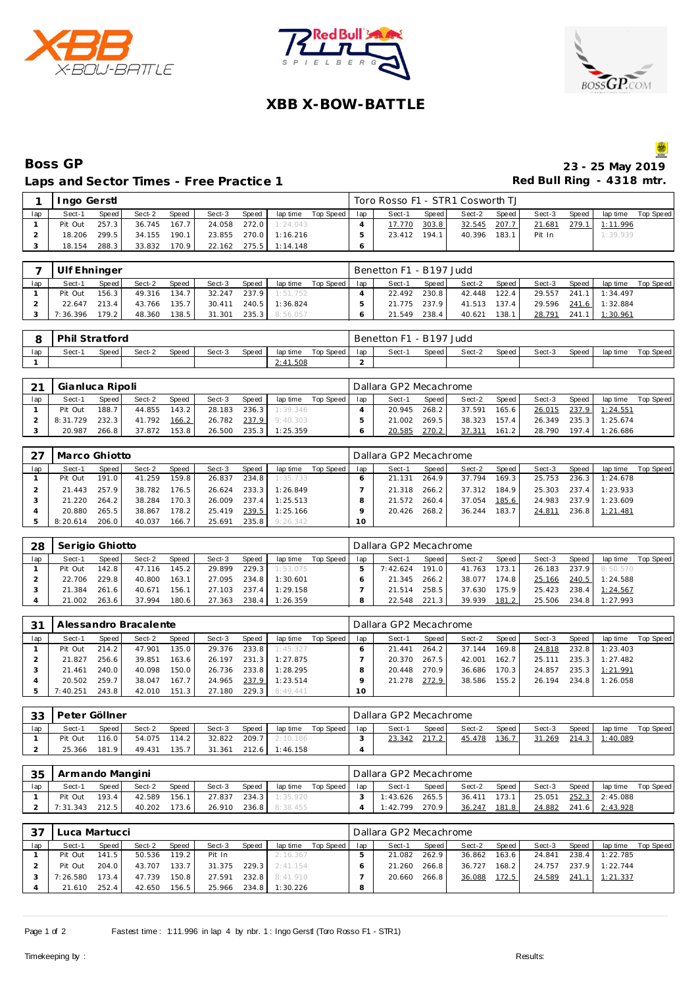





# **XBB X-BOW-BATTLE**

### **Boss GP 23 - 25 May 2019** Laps and Sector Times - Free Practice 1

|     | Ingo Gerstl |       |        |       |        |       |                       |                       | Toro Rosso F1 - STR1 Cosworth TJ |       |              |       |        |       |                    |  |
|-----|-------------|-------|--------|-------|--------|-------|-----------------------|-----------------------|----------------------------------|-------|--------------|-------|--------|-------|--------------------|--|
| lap | Sect-1      | Speed | Sect-2 | Speed | Sect-3 | Speed |                       | laptime Top Speed lap | Sect-1                           | Speed | Sect-2       | Speed | Sect-3 | Speed | lap time Top Speed |  |
|     | Pit Out     | 257.3 | 36.745 | 167.7 |        |       | 24.058 272.0 1:24.043 |                       | 17.770                           | 303.8 | 32.545       | 207.7 | 21.681 |       | 279.1 1:11.996     |  |
|     | 18.206      | 299.5 | 34.155 | 190.1 |        |       | 23.855 270.0 1:16.216 |                       | 23.412                           | 194.1 | 40.396 183.1 |       | Pit In |       | 1:39.939           |  |
|     | 18.154      | 288.3 | 33.832 | 170.9 |        |       | 22.162 275.5 1:14.148 |                       |                                  |       |              |       |        |       |                    |  |

|     | Ulf Ehninger |         |        |              |        |         |                |             |     | Benetton F1 - B197 Judd |         |              |       |        |       |                       |             |
|-----|--------------|---------|--------|--------------|--------|---------|----------------|-------------|-----|-------------------------|---------|--------------|-------|--------|-------|-----------------------|-------------|
| lap | Sect-1       | Speed i | Sect-2 | <b>Speed</b> | Sect-3 | Speed   | lap time       | Top Speed I | lap | Sect-1                  | Speed I | Sect-2       | Speed | Sect-3 | Speed | lap time              | Top Speed I |
|     | Pit Out      | 156.3   | 49.316 | 134.7        | 32.247 | 237.9   | 1:51.752       |             |     | 22.492                  | 230.8   | 42.448       | 122.4 | 29.557 |       | 241.1 1:34.497        |             |
|     | 22.647       | 213.4   | 43.766 | 135.7        | 30.411 |         | 240.5 1:36.824 |             |     | 21.775                  | 237.9   | 41.513 137.4 |       |        |       | 29.596 241.6 1:32.884 |             |
|     | 7:36.396     | 179.2   | 48.360 | 138.5        | 31.301 | $235.3$ | 8:56.057       |             |     | 21.549                  | 238.4   | 40.621       | 138.1 | 28.791 |       | 241.1 1:30.961        |             |

|     | <b>Phil Stratford</b> |       |        |       |        |       |          |           |     | Benetton F1 - B197 Judd |       |        |       |        |       |          |           |
|-----|-----------------------|-------|--------|-------|--------|-------|----------|-----------|-----|-------------------------|-------|--------|-------|--------|-------|----------|-----------|
| lap | Sect-1                | Speed | Sect-2 | Speed | Sect-3 | Speed | lap time | Top Speed | lap | Sect-1                  | Speed | Sect-2 | Speed | Sect-3 | Speed | lap time | Top Speed |
|     |                       |       |        |       |        |       | 2:41.508 |           |     |                         |       |        |       |        |       |          |           |

| $\bigcap$ | Gianluca Ripoli |       |        |       |        |       |          |           |     | Dallara GP2 Mecachrome |       |        |       |        |       |          |           |
|-----------|-----------------|-------|--------|-------|--------|-------|----------|-----------|-----|------------------------|-------|--------|-------|--------|-------|----------|-----------|
| lap       | Sect-1          | Speed | Sect-2 | Speed | Sect-3 | Speed | lap time | Top Speed | lap | Sect-1                 | Speed | Sect-2 | Speed | Sect-3 | Speed | lap time | Top Speed |
|           | Pit Out         | 188.7 | 44.855 | 143.2 | 28.183 | 236.3 | 1:39.346 |           |     | 20.945                 | 268.2 | 37.591 | 165.6 | 26.015 | 237.9 | 1:24.551 |           |
|           | 8:31.729        | 232.3 | 41.792 | 166.2 | 26.782 | 237.9 | 9:40.303 |           |     | 21.002                 | 269.5 | 38.323 | 157.4 | 26.349 | 235.3 | 1:25.674 |           |
|           | 20.987          | 266.8 | 37.872 | 153.8 | 26.500 | 235.3 | 1:25.359 |           |     | 20.585                 | 270.2 | 37.311 | 161.2 | 28.790 | 197.4 | 1:26.686 |           |

|     | Marco Ghiotto |       |        |       |        |       |          |           |     | Dallara GP2 Mecachrome |       |        |       |        |       |          |           |
|-----|---------------|-------|--------|-------|--------|-------|----------|-----------|-----|------------------------|-------|--------|-------|--------|-------|----------|-----------|
| lap | Sect-1        | Speed | Sect-2 | Speed | Sect-3 | Speed | lap time | Top Speed | lap | Sect-1                 | Speed | Sect-2 | Speed | Sect-3 | Speed | lap time | Top Speed |
|     | Pit Out       | 191.0 | 41.259 | 159.8 | 26.837 | 234.8 | 1:35.733 |           |     | 21.131                 | 264.9 | 37.794 | 169.3 | 25.753 | 236.3 | 1:24.678 |           |
|     | 21.443        | 257.9 | 38.782 | 176.5 | 26.624 | 233.3 | 1:26.849 |           |     | 21.318                 | 266.2 | 37.312 | 184.9 | 25.303 | 237.4 | 1:23.933 |           |
|     | 21.220        | 264.2 | 38.284 | 170.3 | 26.009 | 237.4 | 1:25.513 |           |     | 21.572                 | 260.4 | 37.054 | 185.6 | 24.983 | 237.9 | 1:23.609 |           |
|     | 20.880        | 265.5 | 38.867 | 178.2 | 25.419 | 239.5 | 1:25.166 |           |     | 20.426                 | 268.2 | 36.244 | 183.7 | 24.811 | 236.8 | 1:21.481 |           |
|     | 8:20.614      | 206.0 | 40.037 | 166.7 | 25.691 | 235.8 | 9:26.342 |           |     |                        |       |        |       |        |       |          |           |

| 28  | Serigio Ghiotto |              |        |       |        |       |          |           |     | Dallara GP2 Mecachrome |         |        |       |        |       |          |           |
|-----|-----------------|--------------|--------|-------|--------|-------|----------|-----------|-----|------------------------|---------|--------|-------|--------|-------|----------|-----------|
| lap | Sect-1          | <b>Speed</b> | Sect-2 | Speed | Sect-3 | Speed | lap time | Top Speed | lap | Sect-1                 | Speed ! | Sect-2 | Speed | Sect-3 | Speed | lap time | Top Speed |
|     | Pit Out         | 142.8        | 47.116 | 145.2 | 29.899 | 229.3 | 1:53.075 |           |     | 7:42.624               | 191.0   | 41.763 | 173.1 | 26.183 | 237.9 | 8:50.570 |           |
|     | 22.706          | 229.8        | 40.800 | 163.1 | 27.095 | 234.8 | 1:30.601 |           |     | 21.345                 | 266.2   | 38.077 | 174.8 | 25.166 | 240.5 | 1:24.588 |           |
|     | 21.384          | 261.6        | 40.671 | 156.1 | 27.103 | 237.4 | 1:29.158 |           |     | 21.514                 | 258.5   | 37.630 | 175.9 | 25.423 | 238.4 | 1:24.567 |           |
|     | 21.002          | 263.6        | 37.994 | 180.6 | 27.363 | 238.4 | 1:26.359 |           |     | 22.548                 | 221.31  | 39.939 | 181.2 | 25.506 | 234.8 | 1:27.993 |           |

| 31  |          |       | Alessandro Bracalente |              |        |       |          |           |     | Dallara GP2 Mecachrome |       |        |         |        |       |                  |           |
|-----|----------|-------|-----------------------|--------------|--------|-------|----------|-----------|-----|------------------------|-------|--------|---------|--------|-------|------------------|-----------|
| lap | Sect-1   | Speed | Sect-2                | <b>Speed</b> | Sect-3 | Speed | lap time | Top Speed | lap | Sect-1                 | Speed | Sect-2 | Speed I | Sect-3 | Speed | lap time         | Top Speed |
|     | Pit Out  | 214.2 | 47.901                | 135.0        | 29.376 | 233.8 | 1:45.327 |           |     | 21.441                 | 264.2 | 37.144 | 169.8   | 24.818 | 232.8 | 1:23.403         |           |
|     | 21.827   | 256.6 | 39.851                | 163.6        | 26.197 | 231.3 | 1:27.875 |           |     | 20.370                 | 267.5 | 42.001 | 162.7   | 25.111 |       | $235.3$ 1:27.482 |           |
|     | 21.461   | 240.0 | 40.098                | 150.0        | 26.736 | 233.8 | 1:28.295 |           |     | 20.448                 | 270.9 | 36.686 | 170.3   | 24.857 |       | 235.3 1:21.991   |           |
|     | 20.502   | 259.7 | 38.047                | 167.7        | 24.965 | 237.9 | 1:23.514 |           |     | 21.278                 | 272.9 | 38.586 | 155.2   | 26.194 |       | 234.8 1:26.058   |           |
|     | 7:40.251 | 243.8 | 42.010                | 151.3        | 27.180 | 229.3 | 8:49.441 |           | 10  |                        |       |        |         |        |       |                  |           |

| 33  | Peter Göllner |       |        |       |        |       |          |           |     | Dallara GP2 Mecachrome |         |        |              |        |       |          |           |
|-----|---------------|-------|--------|-------|--------|-------|----------|-----------|-----|------------------------|---------|--------|--------------|--------|-------|----------|-----------|
| lap | Sect-1        | Speed | Sect-2 | Speed | Sect-3 | Speed | lap time | Top Speed | lap | Sect-1                 | Speed I | Sect-2 | Speed        | Sect-3 | Speed | lap time | Top Speed |
|     | Pit Out       | 116.0 | 54.075 | 114.2 | 32.822 | 209.7 | 2:10.186 |           |     | 23.342                 | 217.2   | 45.478 | <u>136.7</u> | 31.269 | 214.3 | 1:40.089 |           |
|     | 25.366        | 181.9 | 49.431 | 135.7 | 31.361 | 212.6 | 1:46.158 |           |     |                        |         |        |              |        |       |          |           |

| 35  | Armando Mangini |       |        |       |        |        |          |           |     | Dallara GP2 Mecachrome |       |        |       |        |       |          |           |
|-----|-----------------|-------|--------|-------|--------|--------|----------|-----------|-----|------------------------|-------|--------|-------|--------|-------|----------|-----------|
| lap | Sect-1          | Speed | Sect-2 | Speed | Sect-3 | Speed  | lap time | Top Speed | lap | Sect-                  | Speed | Sect-2 | Speed | Sect-3 | Speed | lap time | Top Speed |
|     | Pit Out         | 193.4 | 42.589 | 156.1 | 27.837 | 234.31 | 1:35.920 |           |     | 1:43.626               | 265.5 | 36.411 | 173.1 | 25.051 | 252.3 | 2:45.088 |           |
|     | 7:31.343        | 212.5 | 40.202 | 173.6 | 26.910 | 236.8  | 8:38.455 |           |     | 1:42.799               | 270.9 | 36.247 | 181.8 | 24.882 | 241.6 | 2:43.928 |           |

| 37  | Luca Martucci<br>Speed<br>Sect-2<br>Sect-3<br>Speed<br>Speed<br>Sect-1<br>lap time<br>141.5<br>119.2<br>50.536<br>2:16.367<br>Pit Out<br>Pit In |       |        |       |        |       |          |           |     | Dallara GP2 Mecachrome |       |        |        |        |       |          |           |
|-----|-------------------------------------------------------------------------------------------------------------------------------------------------|-------|--------|-------|--------|-------|----------|-----------|-----|------------------------|-------|--------|--------|--------|-------|----------|-----------|
| lap |                                                                                                                                                 |       |        |       |        |       |          | Top Speed | lap | Sect-1                 | Speed | Sect-2 | Speed  | Sect-3 | Speed | lap time | Top Speed |
|     |                                                                                                                                                 |       |        |       |        |       |          |           |     | 21.082                 | 262.9 | 36.862 | 163.61 | 24.841 | 238.4 | 1:22.785 |           |
|     | Pit Out                                                                                                                                         | 204.0 | 43.707 | 133.7 | 31.375 | 229.3 | 2:41.154 |           |     | 21.260                 | 266.8 | 36.727 | 168.2  | 24.757 | 237.9 | 1:22.744 |           |
|     | 7:26.580                                                                                                                                        | 173.4 | 47.739 | 150.8 | 27.591 | 232.8 | 8:41.910 |           |     | 20.660                 | 266.8 | 36.088 | 172.5  | 24.589 | 241.1 | 1:21.337 |           |
|     | 21.610                                                                                                                                          | 252.4 | 42.650 | 156.5 | 25.966 | 234.8 | 1:30.226 |           | 8   |                        |       |        |        |        |       |          |           |